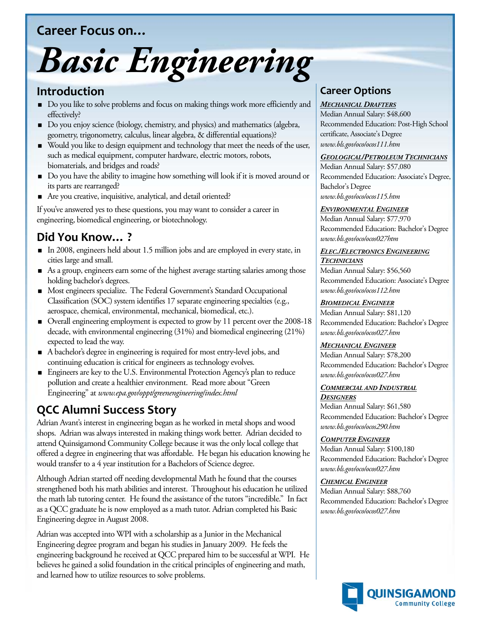## **Career Focus on…**



### **Introduction**

- Do you like to solve problems and focus on making things work more efficiently and effectively?
- Do you enjoy science (biology, chemistry, and physics) and mathematics (algebra, geometry, trigonometry, calculus, linear algebra, & differential equations)?
- Would you like to design equipment and technology that meet the needs of the user, such as medical equipment, computer hardware, electric motors, robots, biomaterials, and bridges and roads?
- Do you have the ability to imagine how something will look if it is moved around or its parts are rearranged?
- Are you creative, inquisitive, analytical, and detail oriented?

If you've answered yes to these questions, you may want to consider a career in engineering, biomedical engineering, or biotechnology.

# **Did You Know… ?**

- In 2008, engineers held about 1.5 million jobs and are employed in every state, in cities large and small.
- As a group, engineers earn some of the highest average starting salaries among those holding bachelor's degrees.
- Most engineers specialize. The Federal Government's Standard Occupational Classification (SOC) system identifies 17 separate engineering specialties (e.g., aerospace, chemical, environmental, mechanical, biomedical, etc.).
- Overall engineering employment is expected to grow by 11 percent over the 2008-18 decade, with environmental engineering (31%) and biomedical engineering (21%) expected to lead the way.
- A bachelor's degree in engineering is required for most entry-level jobs, and continuing education is critical for engineers as technology evolves.
- **Engineers are key to the U.S. Environmental Protection Agency's plan to reduce** pollution and create a healthier environment. Read more about "Green Engineering" at *www.epa.gov/oppt/greenengineering/index.html*

# **QCC Alumni Success Story**

Adrian Avant's interest in engineering began as he worked in metal shops and wood shops. Adrian was always interested in making things work better. Adrian decided to attend Quinsigamond Community College because it was the only local college that offered a degree in engineering that was affordable. He began his education knowing he would transfer to a 4 year institution for a Bachelors of Science degree.

Although Adrian started off needing developmental Math he found that the courses strengthened both his math abilities and interest. Throughout his education he utilized the math lab tutoring center. He found the assistance of the tutors "incredible." In fact as a QCC graduate he is now employed as a math tutor. Adrian completed his Basic Engineering degree in August 2008.

Adrian was accepted into WPI with a scholarship as a Junior in the Mechanical Engineering degree program and began his studies in January 2009. He feels the engineering background he received at QCC prepared him to be successful at WPI. He believes he gained a solid foundation in the critical principles of engineering and math, and learned how to utilize resources to solve problems.

## **Career Options**

#### *MECHANICAL DRAFTERS*

Median Annual Salary: \$48,600 Recommended Education: Post-High School certificate, Associate's Degree *www.bls.gov/oco/ocos111.htm*

#### *GEOLOGICAL/PETROLEUM TECHNICIANS*

Median Annual Salary: \$57,080 Recommended Education: Associate's Degree, Bachelor's Degree *www.bls.gov/oco/ocos115.htm*

#### *ENVIRONMENTAL ENGINEER*

Median Annual Salary: \$77,970 Recommended Education: Bachelor's Degree *www.bls.gov/oco/ocos027htm*

#### *ELEC./ELECTRONICS ENGINEERING*

Median Annual Salary: \$56,560 *TECHNICIANS* Recommended Education: Associate's Degree *www.bls.gov/oco/ocos112.htm*

#### *BIOMEDICAL ENGINEER*

Median Annual Salary: \$81,120 Recommended Education: Bachelor's Degree *www.bls.gov/oco/ocos027.htm*

#### *MECHANICAL ENGINEER*

Median Annual Salary: \$78,200 Recommended Education: Bachelor's Degree *www.bls.gov/oco/ocos027.htm*

#### *COMMERCIAL AND INDUSTRIAL DESIGNERS*

Median Annual Salary: \$61,580 Recommended Education: Bachelor's Degree *www.bls.gov/oco/ocos290.htm*

#### *COMPUTER ENGINEER*

Median Annual Salary: \$100,180 Recommended Education: Bachelor's Degree *www.bls.gov/oco/ocos027.htm*

#### *CHEMICAL ENGINEER*

Median Annual Salary: \$88,760 Recommended Education: Bachelor's Degree *www.bls.gov/oco/ocos027.htm*